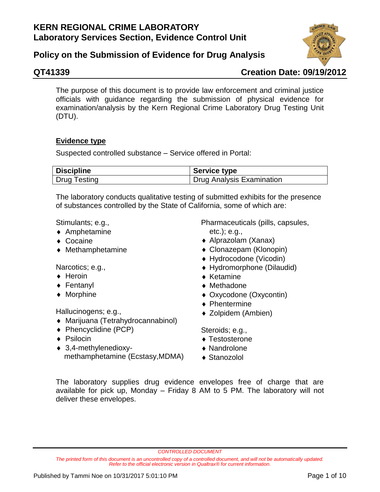# **Policy on the Submission of Evidence for Drug Analysis**



# **QT41339 Creation Date: 09/19/2012**

The purpose of this document is to provide law enforcement and criminal justice officials with guidance regarding the submission of physical evidence for examination/analysis by the Kern Regional Crime Laboratory Drug Testing Unit (DTU).

## **Evidence type**

Suspected controlled substance – Service offered in Portal:

| <b>Discipline</b>   | <b>Service type</b>       |
|---------------------|---------------------------|
| <b>Drug Testing</b> | Drug Analysis Examination |

The laboratory conducts qualitative testing of submitted exhibits for the presence of substances controlled by the State of California, some of which are:

Stimulants; e.g.,

- Amphetamine
- ◆ Cocaine
- Methamphetamine

Narcotics; e.g.,

- $\triangle$  Heroin
- ◆ Fentanyl
- ◆ Morphine

Hallucinogens; e.g.,

- Marijuana (Tetrahydrocannabinol)
- ◆ Phencyclidine (PCP)
- ◆ Psilocin
- 3,4-methylenedioxymethamphetamine (Ecstasy,MDMA)

Pharmaceuticals (pills, capsules, etc.); e.g.,

- Alprazolam (Xanax)
- Clonazepam (Klonopin)
- Hydrocodone (Vicodin)
- Hydromorphone (Dilaudid)
- $\triangle$  Ketamine
- ◆ Methadone
- Oxycodone (Oxycontin)
- ◆ Phentermine
- ◆ Zolpidem (Ambien)

Steroids; e.g.,

- ◆ Testosterone
- Nandrolone
- ◆ Stanozolol

The laboratory supplies drug evidence envelopes free of charge that are available for pick up, Monday – Friday 8 AM to 5 PM. The laboratory will not deliver these envelopes.

*CONTROLLED DOCUMENT*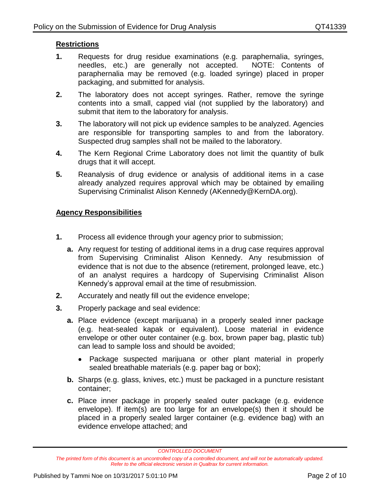### **Restrictions**

- **1.** Requests for drug residue examinations (e.g. paraphernalia, syringes, needles, etc.) are generally not accepted. NOTE: Contents of paraphernalia may be removed (e.g. loaded syringe) placed in proper packaging, and submitted for analysis.
- **2.** The laboratory does not accept syringes. Rather, remove the syringe contents into a small, capped vial (not supplied by the laboratory) and submit that item to the laboratory for analysis.
- **3.** The laboratory will not pick up evidence samples to be analyzed. Agencies are responsible for transporting samples to and from the laboratory. Suspected drug samples shall not be mailed to the laboratory.
- **4.** The Kern Regional Crime Laboratory does not limit the quantity of bulk drugs that it will accept.
- **5.** Reanalysis of drug evidence or analysis of additional items in a case already analyzed requires approval which may be obtained by emailing Supervising Criminalist Alison Kennedy (AKennedy@KernDA.org).

#### **Agency Responsibilities**

- **1.** Process all evidence through your agency prior to submission;
	- **a.** Any request for testing of additional items in a drug case requires approval from Supervising Criminalist Alison Kennedy. Any resubmission of evidence that is not due to the absence (retirement, prolonged leave, etc.) of an analyst requires a hardcopy of Supervising Criminalist Alison Kennedy's approval email at the time of resubmission.
- **2.** Accurately and neatly fill out the evidence envelope;
- **3.** Properly package and seal evidence:
	- **a.** Place evidence (except marijuana) in a properly sealed inner package (e.g. heat-sealed kapak or equivalent). Loose material in evidence envelope or other outer container (e.g. box, brown paper bag, plastic tub) can lead to sample loss and should be avoided;
		- Package suspected marijuana or other plant material in properly sealed breathable materials (e.g. paper bag or box);
	- **b.** Sharps (e.g. glass, knives, etc.) must be packaged in a puncture resistant container;
	- **c.** Place inner package in properly sealed outer package (e.g. evidence envelope). If item(s) are too large for an envelope(s) then it should be placed in a properly sealed larger container (e.g. evidence bag) with an evidence envelope attached; and

*CONTROLLED DOCUMENT*

*The printed form of this document is an uncontrolled copy of a controlled document, and will not be automatically updated. Refer to the official electronic version in Qualtrax for current information.*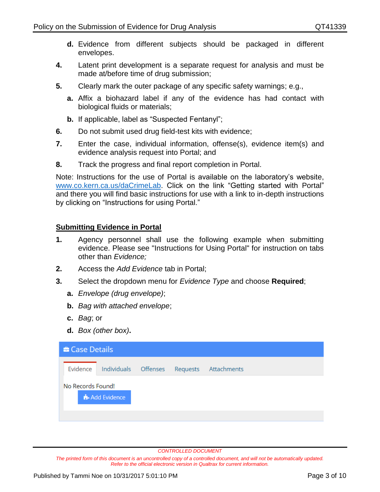- **d.** Evidence from different subjects should be packaged in different envelopes.
- **4.** Latent print development is a separate request for analysis and must be made at/before time of drug submission;
- **5.** Clearly mark the outer package of any specific safety warnings; e.g.,
	- **a.** Affix a biohazard label if any of the evidence has had contact with biological fluids or materials;
	- **b.** If applicable, label as "Suspected Fentanyl";
- **6.** Do not submit used drug field-test kits with evidence;
- **7.** Enter the case, individual information, offense(s), evidence item(s) and evidence analysis request into Portal; and
- **8.** Track the progress and final report completion in Portal.

Note: Instructions for the use of Portal is available on the laboratory's website, [www.co.kern.ca.us/daCrimeLab.](http://www.co.kern.ca.us/daCrimeLab) Click on the link "Getting started with Portal" and there you will find basic instructions for use with a link to in-depth instructions by clicking on "Instructions for using Portal."

#### **Submitting Evidence in Portal**

- **1.** Agency personnel shall use the following example when submitting evidence. Please see "Instructions for Using Portal" for instruction on tabs other than *Evidence;*
- **2.** Access the *Add Evidence* tab in Portal;
- **3.** Select the dropdown menu for *Evidence Type* and choose **Required**;
	- **a.** *Envelope (drug envelope)*;
	- **b.** *Bag with attached envelope*;
	- **c.** *Bag*; or
	- **d.** *Box (other box)***.**

| <b>E</b> Case Details |              |  |  |                                           |  |
|-----------------------|--------------|--|--|-------------------------------------------|--|
| Evidence              |              |  |  | Individuals Offenses Requests Attachments |  |
| No Records Found!     | Add Evidence |  |  |                                           |  |

*CONTROLLED DOCUMENT*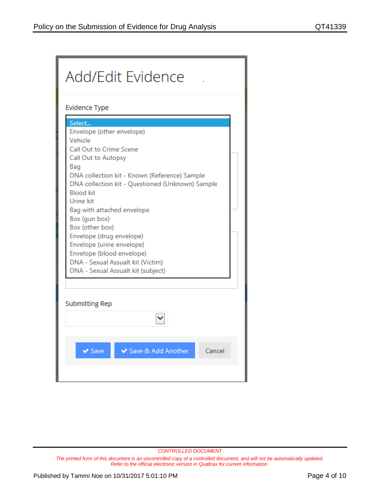| Add/Edit Evidence                                                                                                                                                                                                                                                                                                                                                                                                                                                                |  |  |  |  |
|----------------------------------------------------------------------------------------------------------------------------------------------------------------------------------------------------------------------------------------------------------------------------------------------------------------------------------------------------------------------------------------------------------------------------------------------------------------------------------|--|--|--|--|
| <b>Evidence Type</b>                                                                                                                                                                                                                                                                                                                                                                                                                                                             |  |  |  |  |
| Select<br>Envelope (other envelope)<br>Vehicle<br>Call Out to Crime Scene<br>Call Out to Autopsy<br>Bag<br>DNA collection kit - Known (Reference) Sample<br>DNA collection kit - Questioned (Unknown) Sample<br><b>Blood kit</b><br>Urine kit<br>Bag with attached envelope<br>Box (gun box)<br>Box (other box)<br>Envelope (drug envelope)<br>Envelope (urine envelope)<br>Envelope (blood envelope)<br>DNA - Sexual Assualt kit (Victim)<br>DNA - Sexual Assualt kit (subject) |  |  |  |  |
| <b>Submitting Rep</b>                                                                                                                                                                                                                                                                                                                                                                                                                                                            |  |  |  |  |
| Cancel<br>$\vee$ Save<br>Save & Add Another                                                                                                                                                                                                                                                                                                                                                                                                                                      |  |  |  |  |

*CONTROLLED DOCUMENT*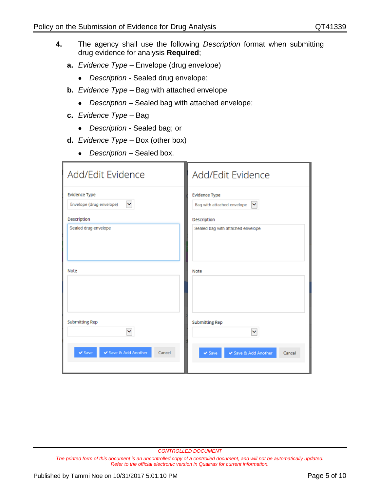- **4.** The agency shall use the following *Description* format when submitting drug evidence for analysis **Required**;
	- **a.** *Evidence Type –* Envelope (drug envelope)
		- *Description -* Sealed drug envelope;
	- **b.** *Evidence Type –* Bag with attached envelope
		- *Description –* Sealed bag with attached envelope;
	- **c.** *Evidence Type –* Bag
		- *Description*  Sealed bag; or
	- **d.** *Evidence Type*  Box (other box)
		- *Description*  Sealed box.

| Add/Edit Evidence                                                | Add/Edit Evidence                                                  |
|------------------------------------------------------------------|--------------------------------------------------------------------|
| <b>Evidence Type</b><br>$\checkmark$<br>Envelope (drug envelope) | <b>Evidence Type</b><br>$\checkmark$<br>Bag with attached envelope |
| Description                                                      | Description                                                        |
| Sealed drug envelope                                             | Sealed bag with attached envelope                                  |
| Note                                                             | Note                                                               |
| Submitting Rep<br>M                                              | <b>Submitting Rep</b><br>v                                         |
| $\vee$ Save<br>✔ Save & Add Another<br>Cancel                    | ← Save & Add Another<br>✔ Save<br>Cancel                           |

*CONTROLLED DOCUMENT*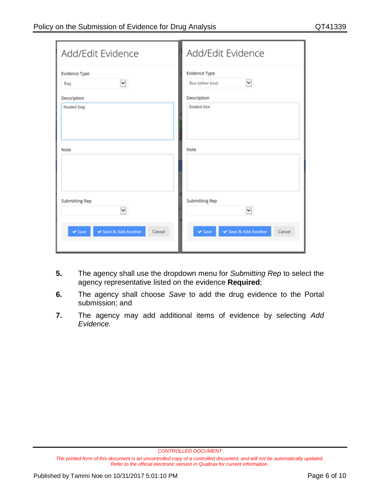| Add/Edit Evidence     | Add/Edit Evidence          |
|-----------------------|----------------------------|
| <b>Evidence Type</b>  | Evidence Type              |
| $\checkmark$          | $\checkmark$               |
| Bag                   | Box (other box)            |
| Description           | Description                |
| Sealed bag            | Sealed box                 |
| Note                  | Note                       |
| <b>Submitting Rep</b> | <b>Submitting Rep</b>      |
| Y                     | $\blacktriangledown$       |
| $\vee$ Save           | ✔ Save & Add Another       |
| ✔ Save & Add Another  | $\blacktriangleright$ Save |
| Cancel                | Cancel                     |

- **5.** The agency shall use the dropdown menu for *Submitting Rep* to select the agency representative listed on the evidence **Required**;
- **6.** The agency shall choose *Save* to add the drug evidence to the Portal submission; and
- **7.** The agency may add additional items of evidence by selecting *Add Evidence.*

*CONTROLLED DOCUMENT*

*The printed form of this document is an uncontrolled copy of a controlled document, and will not be automatically updated. Refer to the official electronic version in Qualtrax for current information.*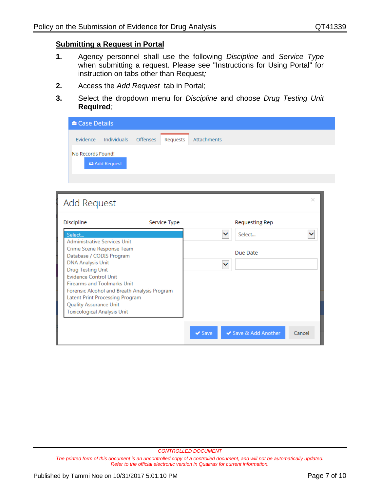#### **Submitting a Request in Portal**

- **1.** Agency personnel shall use the following *Discipline* and *Service Type* when submitting a request. Please see "Instructions for Using Portal" for instruction on tabs other than Request*;*
- **2.** Access the *Add Request* tab in Portal;
- **3.** Select the dropdown menu for *Discipline* and choose *Drug Testing Unit* **Required***;*

| <b>Case Details</b> |             |          |          |             |
|---------------------|-------------|----------|----------|-------------|
| Evidence            | Individuals | Offenses | Requests | Attachments |
| No Records Found!   |             |          |          |             |
|                     | Add Request |          |          |             |

| Add Request                                                                                    |              |             |                       | $\times$ |
|------------------------------------------------------------------------------------------------|--------------|-------------|-----------------------|----------|
| Discipline                                                                                     | Service Type |             | <b>Requesting Rep</b> |          |
| Select<br><b>Administrative Services Unit</b>                                                  |              |             | Select                |          |
| Crime Scene Response Team<br>Database / CODIS Program<br><b>DNA Analysis Unit</b>              |              |             | Due Date              |          |
| <b>Drug Testing Unit</b><br><b>Evidence Control Unit</b><br><b>Firearms and Toolmarks Unit</b> |              |             |                       |          |
| Forensic Alcohol and Breath Analysis Program<br>Latent Print Processing Program                |              |             |                       |          |
| Quality Assurance Unit<br><b>Toxicological Analysis Unit</b>                                   |              |             |                       |          |
|                                                                                                |              | $\vee$ Save | ◆ Save & Add Another  | Cancel   |

*CONTROLLED DOCUMENT*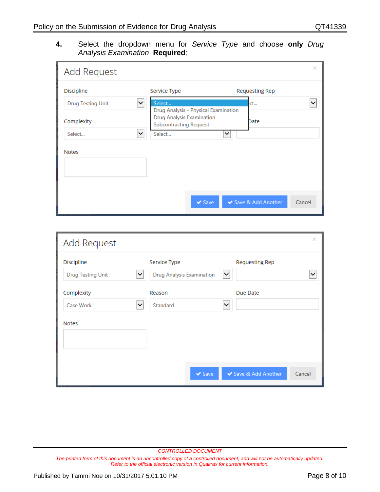#### **4.** Select the dropdown menu for *Service Type* and choose **only** *Drug Analysis Examination* **Required***;*

| Add Request                              |                                                            | $\times$                       |
|------------------------------------------|------------------------------------------------------------|--------------------------------|
| Discipline                               | Service Type                                               | Requesting Rep                 |
| $\checkmark$<br><b>Drug Testing Unit</b> | Select<br>Drug Analysis - Physical Examination             | ct                             |
| Complexity                               | Drug Analysis Examination<br><b>Subcontracting Request</b> | Date                           |
| $\checkmark$<br>Select                   | Select<br>$\checkmark$                                     |                                |
| <b>Notes</b>                             |                                                            |                                |
|                                          |                                                            |                                |
|                                          | $\vee$ Save                                                | ◆ Save & Add Another<br>Cancel |

| Add Request                                             |                                           | $\times$                                   |
|---------------------------------------------------------|-------------------------------------------|--------------------------------------------|
| Discipline<br><b>Drug Testing Unit</b><br>$\checkmark$  | Service Type<br>Drug Analysis Examination | <b>Requesting Rep</b><br>×<br>$\checkmark$ |
| Complexity<br>Case Work<br>$\checkmark$<br><b>Notes</b> | Reason<br>Standard                        | Due Date<br>$\checkmark$                   |
|                                                         | $\sqrt{S}$ ave                            | ◆ Save & Add Another<br>Cancel             |

*CONTROLLED DOCUMENT*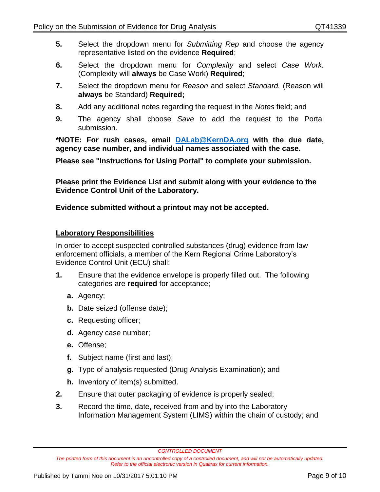- **5.** Select the dropdown menu for *Submitting Rep* and choose the agency representative listed on the evidence **Required**;
- **6.** Select the dropdown menu for *Complexity* and select *Case Work.*  (Complexity will **always** be Case Work) **Required**;
- **7.** Select the dropdown menu for *Reason* and select *Standard.* (Reason will **always** be Standard) **Required;**
- **8.** Add any additional notes regarding the request in the *Notes* field; and
- **9.** The agency shall choose *Save* to add the request to the Portal submission.

**\*NOTE: For rush cases, email [DALab@KernDA.org](mailto:DALab@KernDA.org) with the due date, agency case number, and individual names associated with the case.** 

**Please see "Instructions for Using Portal" to complete your submission.** 

**Please print the Evidence List and submit along with your evidence to the Evidence Control Unit of the Laboratory.**

### **Evidence submitted without a printout may not be accepted.**

### **Laboratory Responsibilities**

In order to accept suspected controlled substances (drug) evidence from law enforcement officials, a member of the Kern Regional Crime Laboratory's Evidence Control Unit (ECU) shall:

- **1.** Ensure that the evidence envelope is properly filled out. The following categories are **required** for acceptance;
	- **a.** Agency;
	- **b.** Date seized (offense date);
	- **c.** Requesting officer;
	- **d.** Agency case number;
	- **e.** Offense;
	- **f.** Subject name (first and last);
	- **g.** Type of analysis requested (Drug Analysis Examination); and
	- **h.** Inventory of item(s) submitted.
- **2.** Ensure that outer packaging of evidence is properly sealed;
- **3.** Record the time, date, received from and by into the Laboratory Information Management System (LIMS) within the chain of custody; and

*CONTROLLED DOCUMENT*

*The printed form of this document is an uncontrolled copy of a controlled document, and will not be automatically updated. Refer to the official electronic version in Qualtrax for current information.*